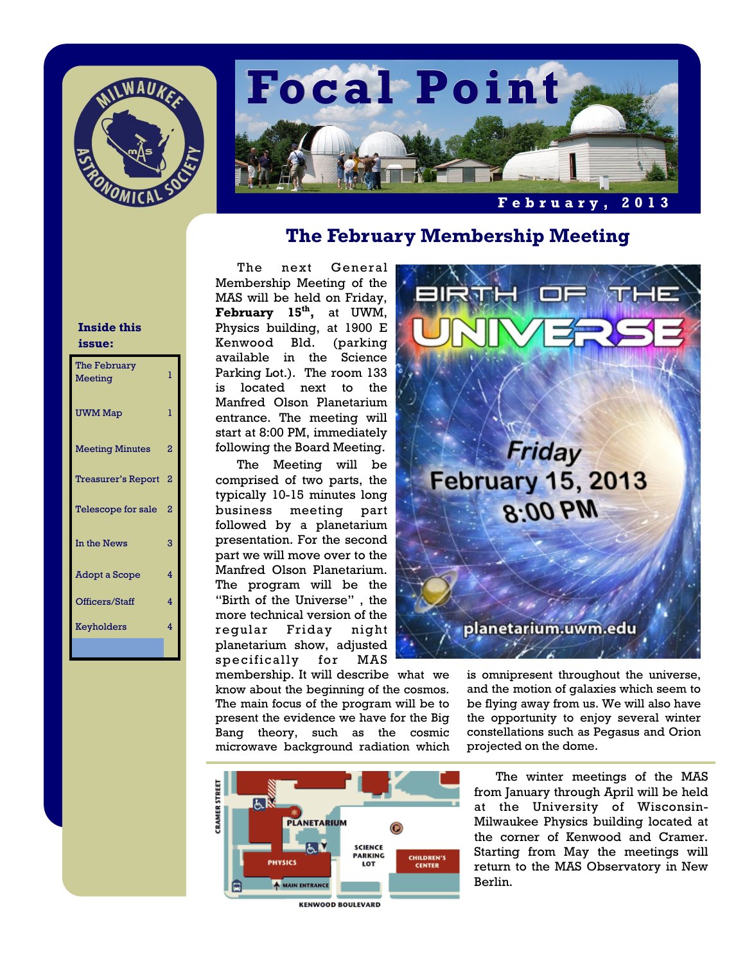



## **The February Membership Meeting**

The next General Membership Meeting of the MAS will be held on Friday, **February 15th,** at UWM, Physics building, at 1900 E Kenwood Bld. (parking available in the Science Parking Lot.). The room 133 is located next to the Manfred Olson Planetarium entrance. The meeting will start at 8:00 PM, immediately following the Board Meeting.

 The Meeting will be comprised of two parts, the typically 10-15 minutes long business meeting part followed by a planetarium presentation. For the second part we will move over to the Manfred Olson Planetarium. The program will be the "Birth of the Universe" , the more technical version of the regular Friday night planetarium show, adjusted specifically for MAS

membership. It will describe what we know about the beginning of the cosmos. The main focus of the program will be to present the evidence we have for the Big Bang theory, such as the cosmic microwave background radiation which



Friday **February 15, 2013** 8:00 PM

planetarium.uwm.edu

is omnipresent throughout the universe, and the motion of galaxies which seem to be flying away from us. We will also have the opportunity to enjoy several winter constellations such as Pegasus and Orion projected on the dome.

The winter meetings of the MAS from January through April will be held at the University of Wisconsin-Milwaukee Physics building located at the corner of Kenwood and Cramer. Starting from May the meetings will return to the MAS Observatory in New Berlin.

### **Inside this issue:**

| The February<br>Meeting   | $\overline{1}$ |
|---------------------------|----------------|
| <b>UWM</b> Map            | ī              |
| <b>Meeting Minutes</b>    | $\overline{a}$ |
| <b>Treasurer's Report</b> | $\overline{2}$ |
| Telescope for sale        | $\overline{a}$ |
| In the News               | 3              |
| Adopt a Scope             | 4              |
| Officers/Staff            | 4              |
| Keyholders                | 4              |
|                           |                |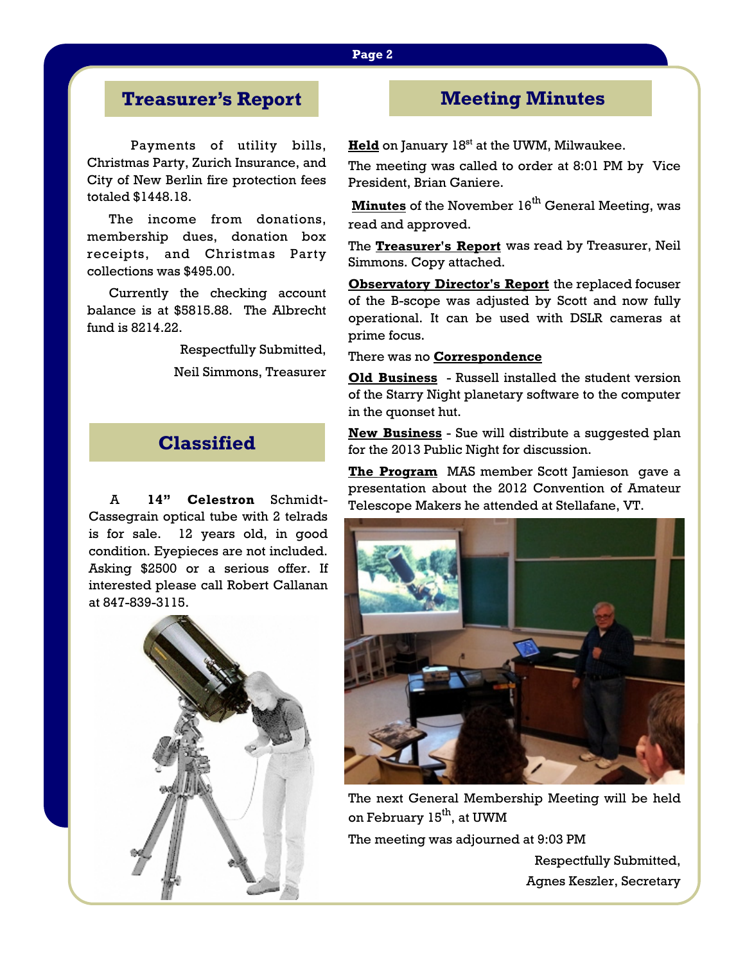## **Treasurer's Report**

 Payments of utility bills, Christmas Party, Zurich Insurance, and City of New Berlin fire protection fees totaled \$1448.18.

 The income from donations, membership dues, donation box receipts, and Christmas Party collections was \$495.00.

 Currently the checking account balance is at \$5815.88. The Albrecht fund is 8214.22.

> Respectfully Submitted, Neil Simmons, Treasurer

# **Classified**

A **14" Celestron** Schmidt-Cassegrain optical tube with 2 telrads is for sale. 12 years old, in good condition. Eyepieces are not included. Asking \$2500 or a serious offer. If interested please call Robert Callanan at 847-839-3115.



## **Meeting Minutes**

**Held** on January 18<sup>st</sup> at the UWM, Milwaukee.

The meeting was called to order at 8:01 PM by Vice President, Brian Ganiere.

**Minutes** of the November 16<sup>th</sup> General Meeting, was read and approved.

The **Treasurer's Report** was read by Treasurer, Neil Simmons. Copy attached.

**Observatory Director's Report** the replaced focuser of the B-scope was adjusted by Scott and now fully operational. It can be used with DSLR cameras at prime focus.

### There was no **Correspondence**

**Old Business** - Russell installed the student version of the Starry Night planetary software to the computer in the quonset hut.

**New Business** - Sue will distribute a suggested plan for the 2013 Public Night for discussion.

**The Program** MAS member Scott Jamieson gave a presentation about the 2012 Convention of Amateur Telescope Makers he attended at Stellafane, VT.



The next General Membership Meeting will be held on February 15<sup>th</sup>, at UWM The meeting was adjourned at 9:03 PM Respectfully Submitted,

Agnes Keszler, Secretary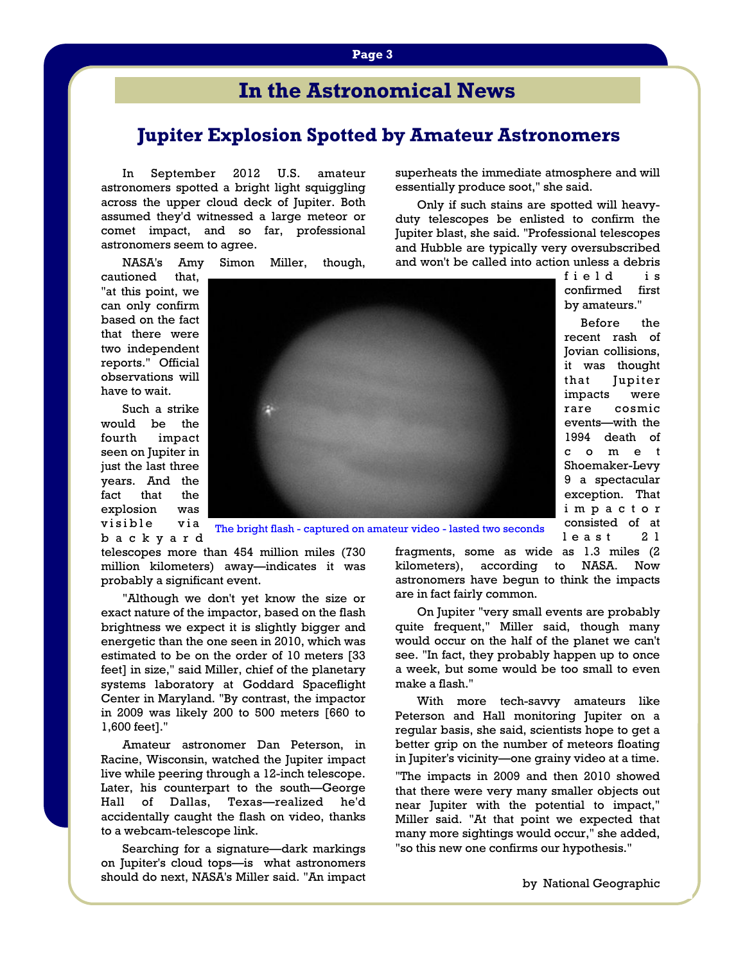# **In the Astronomical News**

### **Jupiter Explosion Spotted by Amateur Astronomers**

In September 2012 U.S. amateur astronomers spotted a bright light squiggling across the upper cloud deck of Jupiter. Both assumed they'd witnessed a large meteor or comet impact, and so far, professional astronomers seem to agree.

NASA's Amy Simon Miller, though,

cautioned that, "at this point, we can only confirm based on the fact that there were two independent reports." Official observations will have to wait.

 Such a strike would be the fourth impact seen on Jupiter in just the last three years. And the fact that the explosion was visible via

b a c k y a r d



The bright flash - captured on amateur video - lasted two seconds

telescopes more than 454 million miles (730 million kilometers) away—indicates it was probably a significant event.

 "Although we don't yet know the size or exact nature of the impactor, based on the flash brightness we expect it is slightly bigger and energetic than the one seen in 2010, which was estimated to be on the order of 10 meters [33 feet] in size," said Miller, chief of the planetary systems laboratory at Goddard Spaceflight Center in Maryland. "By contrast, the impactor in 2009 was likely 200 to 500 meters [660 to 1,600 feet]."

 Amateur astronomer Dan Peterson, in Racine, Wisconsin, watched the Jupiter impact live while peering through a 12-inch telescope. Later, his counterpart to the south—George Hall of Dallas, Texas—realized he'd accidentally caught the flash on video, thanks to a webcam-telescope link.

 Searching for a signature—dark markings on Jupiter's cloud tops—is what astronomers should do next, NASA's Miller said. "An impact superheats the immediate atmosphere and will essentially produce soot," she said.

 Only if such stains are spotted will heavyduty telescopes be enlisted to confirm the Jupiter blast, she said. "Professional telescopes and Hubble are typically very oversubscribed and won't be called into action unless a debris

> field is confirmed first by amateurs."

 Before the recent rash of Jovian collisions, it was thought that Jupiter impacts were rare cosmic events—with the 1994 death of c o m e t Shoemaker-Levy 9 a spectacular exception. That i m p a c t o r consisted of at least 21

fragments, some as wide as 1.3 miles (2 kilometers), according to NASA. Now astronomers have begun to think the impacts are in fact fairly common.

 On Jupiter "very small events are probably quite frequent," Miller said, though many would occur on the half of the planet we can't see. "In fact, they probably happen up to once a week, but some would be too small to even make a flash."

 With more tech-savvy amateurs like Peterson and Hall monitoring Jupiter on a regular basis, she said, scientists hope to get a better grip on the number of meteors floating in Jupiter's vicinity—one grainy video at a time.

"The impacts in 2009 and then 2010 showed that there were very many smaller objects out near Jupiter with the potential to impact," Miller said. "At that point we expected that many more sightings would occur," she added, "so this new one confirms our hypothesis."

#### by National Geographic